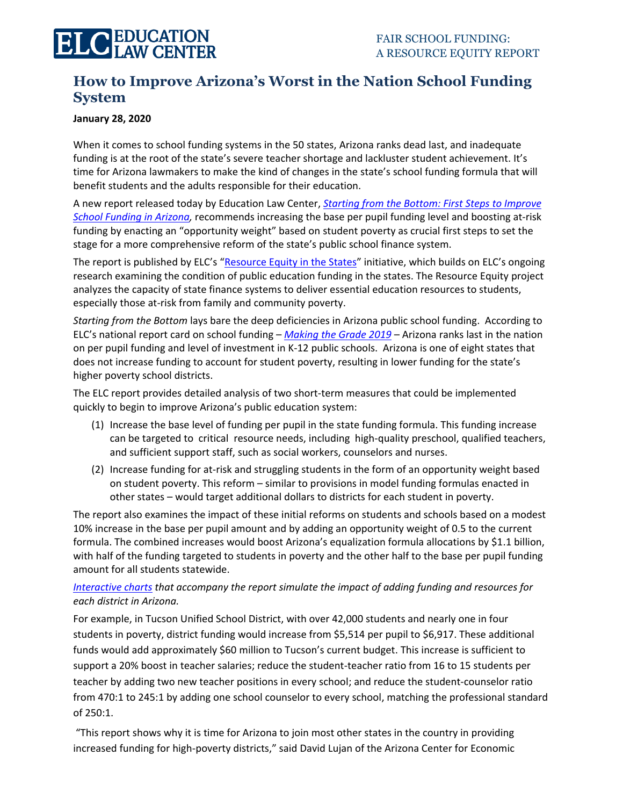## **How to Improve Arizona's Worst in the Nation School Funding System**

#### **January 28, 2020**

When it comes to school funding systems in the 50 states, Arizona ranks dead last, and inadequate funding is at the root of the state's severe teacher shortage and lackluster student achievement. It's time for Arizona lawmakers to make the kind of changes in the state's school funding formula that will benefit students and the adults responsible for their education.

A new report released today by Education Law Center, *Starting from the [Bottom: First Steps to Improve](https://edlawcenter.org/research/arizona/)  [School Funding](https://edlawcenter.org/research/arizona/) in Arizona,* recommends increasing the base per pupil funding level and boosting at-risk funding by enacting an "opportunity weight" based on student poverty as crucial first steps to set the stage for a more comprehensive reform of the state's public school finance system.

The report is published by ELC's "[Resource Equity in the States](https://edlawcenter.org/research/)" initiative, which builds on ELC's ongoing research examining the condition of public education funding in the states. The Resource Equity project analyzes the capacity of state finance systems to deliver essential education resources to students, especially those at-risk from family and community poverty.

*Starting from the Bottom* lays bare the deep deficiencies in Arizona public school funding. According to ELC's national report card on school funding – *[Making the Grade 2019](https://edlawcenter.org/research/making-the-grade/)* – Arizona ranks last in the nation on per pupil funding and level of investment in K-12 public schools. Arizona is one of eight states that does not increase funding to account for student poverty, resulting in lower funding for the state's higher poverty school districts.

The ELC report provides detailed analysis of two short-term measures that could be implemented quickly to begin to improve Arizona's public education system:

- (1) Increase the base level of funding per pupil in the state funding formula. This funding increase can be targeted to critical resource needs, including high-quality preschool, qualified teachers, and sufficient support staff, such as social workers, counselors and nurses.
- (2) Increase funding for at-risk and struggling students in the form of an opportunity weight based on student poverty. This reform – similar to provisions in model funding formulas enacted in other states – would target additional dollars to districts for each student in poverty.

The report also examines the impact of these initial reforms on students and schools based on a modest 10% increase in the base per pupil amount and by adding an opportunity weight of 0.5 to the current formula. The combined increases would boost Arizona's equalization formula allocations by \$1.1 billion, with half of the funding targeted to students in poverty and the other half to the base per pupil funding amount for all students statewide.

### *[Interactive charts](https://edlawcenter.org/research/interactive-tools/) that accompany the report simulate the impact of adding funding and resources for each district in Arizona.*

For example, in Tucson Unified School District, with over 42,000 students and nearly one in four students in poverty, district funding would increase from \$5,514 per pupil to \$6,917. These additional funds would add approximately \$60 million to Tucson's current budget. This increase is sufficient to support a 20% boost in teacher salaries; reduce the student-teacher ratio from 16 to 15 students per teacher by adding two new teacher positions in every school; and reduce the student-counselor ratio from 470:1 to 245:1 by adding one school counselor to every school, matching the professional standard of 250:1.

"This report shows why it is time for Arizona to join most other states in the country in providing increased funding for high-poverty districts," said David Lujan of the Arizona Center for Economic